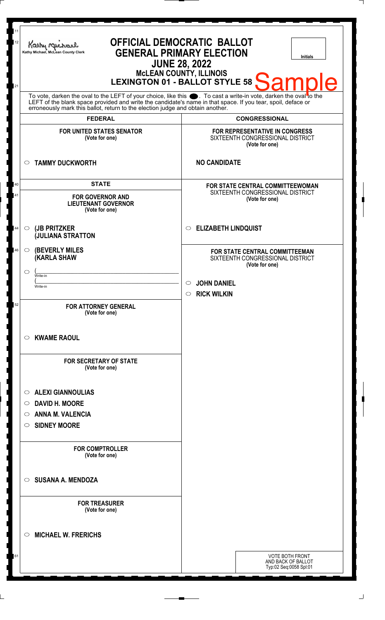| 11<br><b>OFFICIAL DEMOCRATIC BALLOT</b><br>12<br>Kathy My<br><b>GENERAL PRIMARY ELECTION</b><br>Kathy Michael, McLean County Clerk<br><b>Initials</b><br><b>JUNE 28, 2022</b><br><b>MCLEAN COUNTY, ILLINOIS</b><br>LEXINGTON 01 - BALLOT STYLE 58<br>e<br>21                                                     |  |                                                                            |                                                                                                              |  |
|------------------------------------------------------------------------------------------------------------------------------------------------------------------------------------------------------------------------------------------------------------------------------------------------------------------|--|----------------------------------------------------------------------------|--------------------------------------------------------------------------------------------------------------|--|
| To vote, darken the oval to the LEFT of your choice, like this section To cast a write-in vote, darken the oval to the LEFT of the blank space provided and write the candidate's name in that space. If you tear, spoil, defa<br>erroneously mark this ballot, return to the election judge and obtain another. |  |                                                                            |                                                                                                              |  |
| <b>FEDERAL</b><br><b>FOR UNITED STATES SENATOR</b><br>(Vote for one)                                                                                                                                                                                                                                             |  |                                                                            | <b>CONGRESSIONAL</b><br>FOR REPRESENTATIVE IN CONGRESS<br>SIXTEENTH CONGRESSIONAL DISTRICT<br>(Vote for one) |  |
| <b>TAMMY DUCKWORTH</b><br>$\circ$                                                                                                                                                                                                                                                                                |  | <b>NO CANDIDATE</b>                                                        |                                                                                                              |  |
| <b>STATE</b><br><b>FOR GOVERNOR AND</b><br><b>LIEUTENANT GOVERNOR</b><br>(Vote for one)                                                                                                                                                                                                                          |  |                                                                            | FOR STATE CENTRAL COMMITTEEWOMAN<br>SIXTEENTH CONGRESSIONAL DISTRICT<br>(Vote for one)                       |  |
| (JB PRITZKER<br>$\circ$<br><b>JULIANA STRATTON</b>                                                                                                                                                                                                                                                               |  | <b>ELIZABETH LINDQUIST</b><br>O                                            |                                                                                                              |  |
| <b>(BEVERLY MILES</b><br>$\circ$<br><b>(KARLA SHAW</b>                                                                                                                                                                                                                                                           |  |                                                                            | FOR STATE CENTRAL COMMITTEEMAN<br>SIXTEENTH CONGRESSIONAL DISTRICT<br>(Vote for one)                         |  |
| $\circlearrowright$<br>Write-in<br>Write-in                                                                                                                                                                                                                                                                      |  | <b>JOHN DANIEL</b><br>$\circlearrowright$<br><b>RICK WILKIN</b><br>$\circ$ |                                                                                                              |  |
| <b>FOR ATTORNEY GENERAL</b><br>(Vote for one)                                                                                                                                                                                                                                                                    |  |                                                                            |                                                                                                              |  |
| <b>KWAME RAOUL</b><br>$\circ$                                                                                                                                                                                                                                                                                    |  |                                                                            |                                                                                                              |  |
| <b>FOR SECRETARY OF STATE</b><br>(Vote for one)                                                                                                                                                                                                                                                                  |  |                                                                            |                                                                                                              |  |
| <b>ALEXI GIANNOULIAS</b><br>$\circ$<br><b>DAVID H. MOORE</b><br>O<br><b>ANNA M. VALENCIA</b><br>O<br><b>SIDNEY MOORE</b><br>$\circ$                                                                                                                                                                              |  |                                                                            |                                                                                                              |  |
| <b>FOR COMPTROLLER</b><br>(Vote for one)                                                                                                                                                                                                                                                                         |  |                                                                            |                                                                                                              |  |
| <b>SUSANA A. MENDOZA</b><br>$\circ$                                                                                                                                                                                                                                                                              |  |                                                                            |                                                                                                              |  |
| <b>FOR TREASURER</b><br>(Vote for one)                                                                                                                                                                                                                                                                           |  |                                                                            |                                                                                                              |  |
| <b>MICHAEL W. FRERICHS</b><br>$\circlearrowright$                                                                                                                                                                                                                                                                |  |                                                                            |                                                                                                              |  |
|                                                                                                                                                                                                                                                                                                                  |  |                                                                            | <b>VOTE BOTH FRONT</b><br>AND BACK OF BALLOT<br>Typ:02 Seq:0058 Spl:01                                       |  |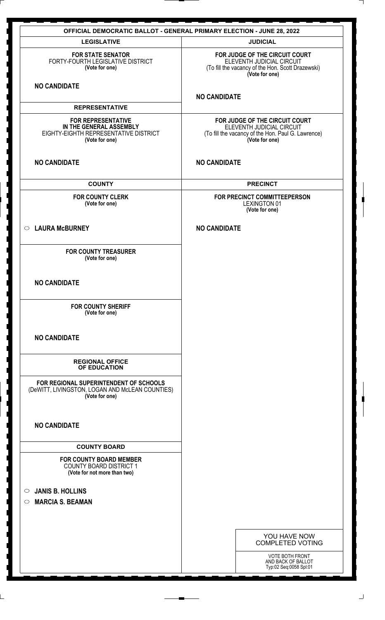| <b>OFFICIAL DEMOCRATIC BALLOT - GENERAL PRIMARY ELECTION - JUNE 28, 2022</b>                                    |                                                                                                                                     |  |  |  |
|-----------------------------------------------------------------------------------------------------------------|-------------------------------------------------------------------------------------------------------------------------------------|--|--|--|
| <b>LEGISLATIVE</b>                                                                                              | <b>JUDICIAL</b>                                                                                                                     |  |  |  |
| <b>FOR STATE SENATOR</b><br>FORTY-FOURTH LEGISLATIVE DISTRICT<br>(Vote for one)                                 | FOR JUDGE OF THE CIRCUIT COURT<br>ELEVENTH JUDICIAL CIRCUIT<br>(To fill the vacancy of the Hon. Scott Drazewski)<br>(Vote for one)  |  |  |  |
| <b>NO CANDIDATE</b>                                                                                             | <b>NO CANDIDATE</b>                                                                                                                 |  |  |  |
| <b>REPRESENTATIVE</b>                                                                                           |                                                                                                                                     |  |  |  |
| <b>FOR REPRESENTATIVE</b><br>IN THE GENERAL ASSEMBLY<br>EIGHTY-EIGHTH REPRESENTATIVE DISTRICT<br>(Vote for one) | FOR JUDGE OF THE CIRCUIT COURT<br>ELEVENTH JUDICIAL CIRCUIT<br>(To fill the vacancy of the Hon. Paul G. Lawrence)<br>(Vote for one) |  |  |  |
| <b>NO CANDIDATE</b>                                                                                             | <b>NO CANDIDATE</b>                                                                                                                 |  |  |  |
| <b>COUNTY</b>                                                                                                   | <b>PRECINCT</b>                                                                                                                     |  |  |  |
| <b>FOR COUNTY CLERK</b><br>(Vote for one)                                                                       | FOR PRECINCT COMMITTEEPERSON<br><b>LEXINGTON 01</b><br>(Vote for one)                                                               |  |  |  |
| <b>LAURA McBURNEY</b><br>$\circ$                                                                                | <b>NO CANDIDATE</b>                                                                                                                 |  |  |  |
| <b>FOR COUNTY TREASURER</b><br>(Vote for one)                                                                   |                                                                                                                                     |  |  |  |
| <b>NO CANDIDATE</b>                                                                                             |                                                                                                                                     |  |  |  |
| <b>FOR COUNTY SHERIFF</b><br>(Vote for one)                                                                     |                                                                                                                                     |  |  |  |
| <b>NO CANDIDATE</b>                                                                                             |                                                                                                                                     |  |  |  |
| <b>REGIONAL OFFICE</b><br>OF EDUCATION                                                                          |                                                                                                                                     |  |  |  |
| FOR REGIONAL SUPERINTENDENT OF SCHOOLS<br>(DeWITT, LIVINGSTON, LOGAN AND McLEAN COUNTIES)<br>(Vote for one)     |                                                                                                                                     |  |  |  |
| <b>NO CANDIDATE</b>                                                                                             |                                                                                                                                     |  |  |  |
| <b>COUNTY BOARD</b>                                                                                             |                                                                                                                                     |  |  |  |
| <b>FOR COUNTY BOARD MEMBER</b><br><b>COUNTY BOARD DISTRICT 1</b><br>(Vote for not more than two)                |                                                                                                                                     |  |  |  |
| <b>JANIS B. HOLLINS</b><br>$\circ$                                                                              |                                                                                                                                     |  |  |  |
| <b>MARCIA S. BEAMAN</b><br>$\circ$                                                                              |                                                                                                                                     |  |  |  |
|                                                                                                                 |                                                                                                                                     |  |  |  |
|                                                                                                                 |                                                                                                                                     |  |  |  |
|                                                                                                                 | YOU HAVE NOW<br><b>COMPLETED VOTING</b>                                                                                             |  |  |  |
|                                                                                                                 | VOTE BOTH FRONT<br>AND BACK OF BALLOT<br>Typ:02 Seq:0058 Spl:01                                                                     |  |  |  |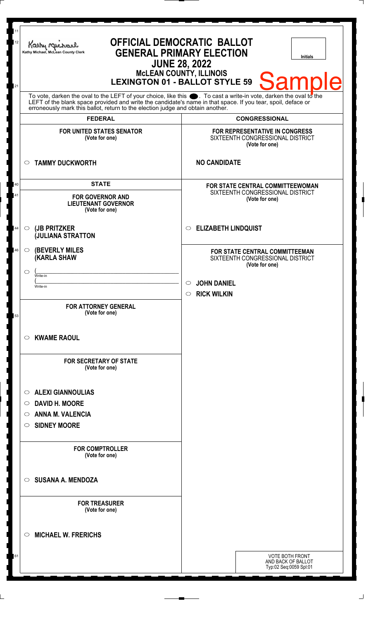| 11<br>12<br>21 | OFFICIAL DEMOCRATIC BALLOT<br>Kathy Muc<br><b>GENERAL PRIMARY ELECTION</b><br>Kathy Michael, McLean County Clerk<br><b>Initials</b><br><b>JUNE 28, 2022</b><br>MCLEAN COUNTY, ILLINOIS<br>LEXINGTON 01 - BALLOT STYLE 59 Sample                                                                                        |                                                                                             |  |  |
|----------------|------------------------------------------------------------------------------------------------------------------------------------------------------------------------------------------------------------------------------------------------------------------------------------------------------------------------|---------------------------------------------------------------------------------------------|--|--|
|                | To vote, darken the oval to the LEFT of your choice, like this $\bullet$ . To cast a write-in vote, darken the oval to the LEFT of the blank space provided and write the candidate's name in that space. If you tear, spoil, deface<br>erroneously mark this ballot, return to the election judge and obtain another. |                                                                                             |  |  |
|                | <b>FEDERAL</b>                                                                                                                                                                                                                                                                                                         | <b>CONGRESSIONAL</b>                                                                        |  |  |
|                | <b>FOR UNITED STATES SENATOR</b><br>(Vote for one)                                                                                                                                                                                                                                                                     | <b>FOR REPRESENTATIVE IN CONGRESS</b><br>SIXTEENTH CONGRESSIONAL DISTRICT<br>(Vote for one) |  |  |
|                | <b>TAMMY DUCKWORTH</b><br>$\circ$                                                                                                                                                                                                                                                                                      | <b>NO CANDIDATE</b>                                                                         |  |  |
| 40<br>41       | <b>STATE</b><br><b>FOR GOVERNOR AND</b><br><b>LIEUTENANT GOVERNOR</b><br>(Vote for one)                                                                                                                                                                                                                                | FOR STATE CENTRAL COMMITTEEWOMAN<br>SIXTEENTH CONGRESSIONAL DISTRICT<br>(Vote for one)      |  |  |
| 44             | (JB PRITZKER<br>$\circ$<br><b>JULIANA STRATTON</b>                                                                                                                                                                                                                                                                     | <b>ELIZABETH LINDQUIST</b><br>$\circ$                                                       |  |  |
| 46             | <b>(BEVERLY MILES)</b><br>$\circ$<br><b>(KARLA SHAW</b><br>⌒                                                                                                                                                                                                                                                           | FOR STATE CENTRAL COMMITTEEMAN<br>SIXTEENTH CONGRESSIONAL DISTRICT<br>(Vote for one)        |  |  |
|                | Write-in<br>Write-in                                                                                                                                                                                                                                                                                                   | <b>JOHN DANIEL</b><br>$\circ$<br>$\circ$ RICK WILKIN                                        |  |  |
| 53             | <b>FOR ATTORNEY GENERAL</b><br>(Vote for one)                                                                                                                                                                                                                                                                          |                                                                                             |  |  |
|                | <b>KWAME RAOUL</b><br>$\circ$                                                                                                                                                                                                                                                                                          |                                                                                             |  |  |
|                | <b>FOR SECRETARY OF STATE</b><br>(Vote for one)                                                                                                                                                                                                                                                                        |                                                                                             |  |  |
|                | <b>ALEXI GIANNOULIAS</b><br>$\circ$                                                                                                                                                                                                                                                                                    |                                                                                             |  |  |
|                | <b>DAVID H. MOORE</b><br>$\circ$                                                                                                                                                                                                                                                                                       |                                                                                             |  |  |
|                | <b>ANNA M. VALENCIA</b><br>$\circ$                                                                                                                                                                                                                                                                                     |                                                                                             |  |  |
|                | <b>SIDNEY MOORE</b><br>$\circ$                                                                                                                                                                                                                                                                                         |                                                                                             |  |  |
|                | <b>FOR COMPTROLLER</b><br>(Vote for one)                                                                                                                                                                                                                                                                               |                                                                                             |  |  |
|                | <b>SUSANA A. MENDOZA</b><br>$\bigcirc$                                                                                                                                                                                                                                                                                 |                                                                                             |  |  |
|                | <b>FOR TREASURER</b><br>(Vote for one)                                                                                                                                                                                                                                                                                 |                                                                                             |  |  |
|                | <b>MICHAEL W. FRERICHS</b><br>$\left(\right)$                                                                                                                                                                                                                                                                          |                                                                                             |  |  |
| 61             |                                                                                                                                                                                                                                                                                                                        | <b>VOTE BOTH FRONT</b><br>AND BACK OF BALLOT<br>Typ:02 Seq:0059 Spl:01                      |  |  |